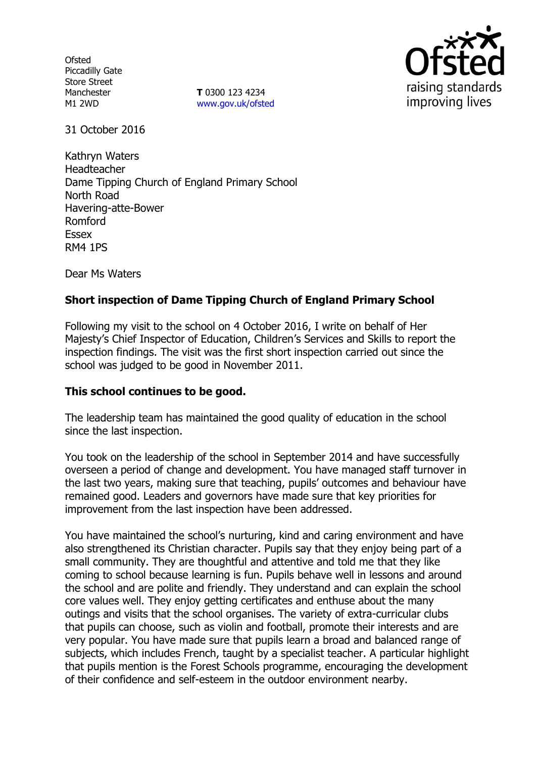**Ofsted** Piccadilly Gate Store Street Manchester M1 2WD

**T** 0300 123 4234 www.gov.uk/ofsted



31 October 2016

Kathryn Waters Headteacher Dame Tipping Church of England Primary School North Road Havering-atte-Bower Romford Essex RM4 1PS

Dear Ms Waters

# **Short inspection of Dame Tipping Church of England Primary School**

Following my visit to the school on 4 October 2016, I write on behalf of Her Majesty's Chief Inspector of Education, Children's Services and Skills to report the inspection findings. The visit was the first short inspection carried out since the school was judged to be good in November 2011.

### **This school continues to be good.**

The leadership team has maintained the good quality of education in the school since the last inspection.

You took on the leadership of the school in September 2014 and have successfully overseen a period of change and development. You have managed staff turnover in the last two years, making sure that teaching, pupils' outcomes and behaviour have remained good. Leaders and governors have made sure that key priorities for improvement from the last inspection have been addressed.

You have maintained the school's nurturing, kind and caring environment and have also strengthened its Christian character. Pupils say that they enjoy being part of a small community. They are thoughtful and attentive and told me that they like coming to school because learning is fun. Pupils behave well in lessons and around the school and are polite and friendly. They understand and can explain the school core values well. They enjoy getting certificates and enthuse about the many outings and visits that the school organises. The variety of extra-curricular clubs that pupils can choose, such as violin and football, promote their interests and are very popular. You have made sure that pupils learn a broad and balanced range of subjects, which includes French, taught by a specialist teacher. A particular highlight that pupils mention is the Forest Schools programme, encouraging the development of their confidence and self-esteem in the outdoor environment nearby.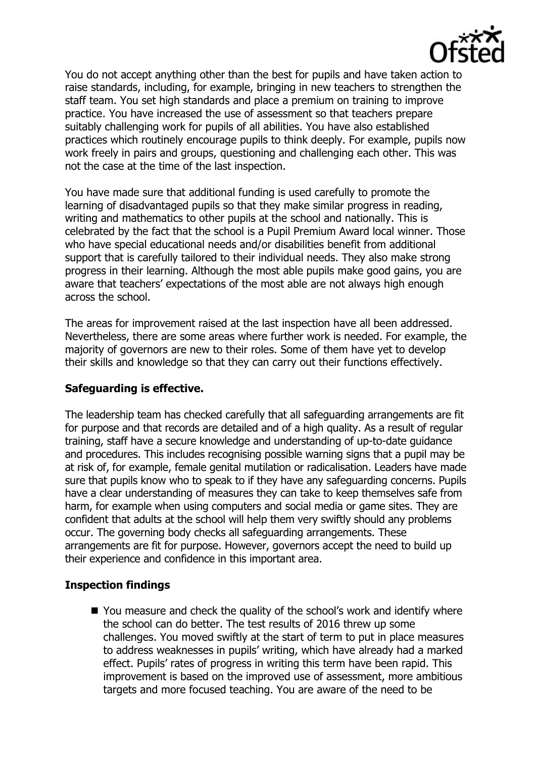

You do not accept anything other than the best for pupils and have taken action to raise standards, including, for example, bringing in new teachers to strengthen the staff team. You set high standards and place a premium on training to improve practice. You have increased the use of assessment so that teachers prepare suitably challenging work for pupils of all abilities. You have also established practices which routinely encourage pupils to think deeply. For example, pupils now work freely in pairs and groups, questioning and challenging each other. This was not the case at the time of the last inspection.

You have made sure that additional funding is used carefully to promote the learning of disadvantaged pupils so that they make similar progress in reading, writing and mathematics to other pupils at the school and nationally. This is celebrated by the fact that the school is a Pupil Premium Award local winner. Those who have special educational needs and/or disabilities benefit from additional support that is carefully tailored to their individual needs. They also make strong progress in their learning. Although the most able pupils make good gains, you are aware that teachers' expectations of the most able are not always high enough across the school.

The areas for improvement raised at the last inspection have all been addressed. Nevertheless, there are some areas where further work is needed. For example, the majority of governors are new to their roles. Some of them have yet to develop their skills and knowledge so that they can carry out their functions effectively.

# **Safeguarding is effective.**

The leadership team has checked carefully that all safeguarding arrangements are fit for purpose and that records are detailed and of a high quality. As a result of regular training, staff have a secure knowledge and understanding of up-to-date guidance and procedures. This includes recognising possible warning signs that a pupil may be at risk of, for example, female genital mutilation or radicalisation. Leaders have made sure that pupils know who to speak to if they have any safeguarding concerns. Pupils have a clear understanding of measures they can take to keep themselves safe from harm, for example when using computers and social media or game sites. They are confident that adults at the school will help them very swiftly should any problems occur. The governing body checks all safeguarding arrangements. These arrangements are fit for purpose. However, governors accept the need to build up their experience and confidence in this important area.

# **Inspection findings**

■ You measure and check the quality of the school's work and identify where the school can do better. The test results of 2016 threw up some challenges. You moved swiftly at the start of term to put in place measures to address weaknesses in pupils' writing, which have already had a marked effect. Pupils' rates of progress in writing this term have been rapid. This improvement is based on the improved use of assessment, more ambitious targets and more focused teaching. You are aware of the need to be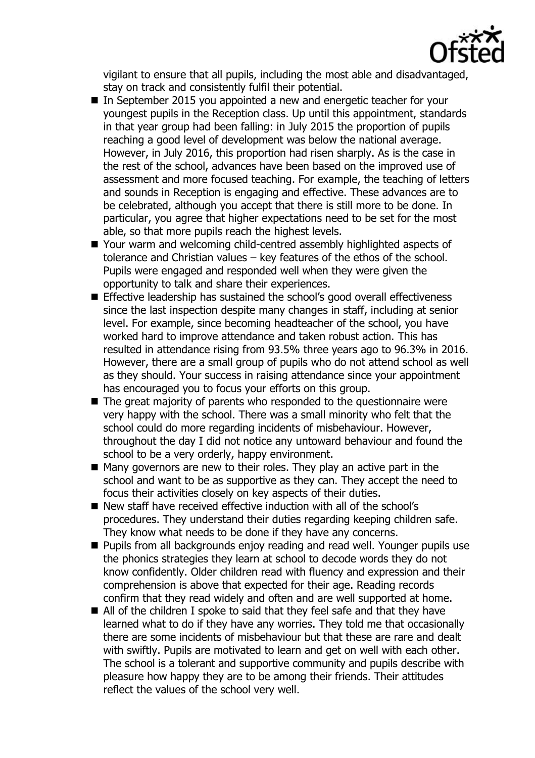

vigilant to ensure that all pupils, including the most able and disadvantaged, stay on track and consistently fulfil their potential.

- In September 2015 you appointed a new and energetic teacher for your youngest pupils in the Reception class. Up until this appointment, standards in that year group had been falling: in July 2015 the proportion of pupils reaching a good level of development was below the national average. However, in July 2016, this proportion had risen sharply. As is the case in the rest of the school, advances have been based on the improved use of assessment and more focused teaching. For example, the teaching of letters and sounds in Reception is engaging and effective. These advances are to be celebrated, although you accept that there is still more to be done. In particular, you agree that higher expectations need to be set for the most able, so that more pupils reach the highest levels.
- Your warm and welcoming child-centred assembly highlighted aspects of tolerance and Christian values – key features of the ethos of the school. Pupils were engaged and responded well when they were given the opportunity to talk and share their experiences.
- Effective leadership has sustained the school's good overall effectiveness since the last inspection despite many changes in staff, including at senior level. For example, since becoming headteacher of the school, you have worked hard to improve attendance and taken robust action. This has resulted in attendance rising from 93.5% three years ago to 96.3% in 2016. However, there are a small group of pupils who do not attend school as well as they should. Your success in raising attendance since your appointment has encouraged you to focus your efforts on this group.
- $\blacksquare$  The great majority of parents who responded to the questionnaire were very happy with the school. There was a small minority who felt that the school could do more regarding incidents of misbehaviour. However, throughout the day I did not notice any untoward behaviour and found the school to be a very orderly, happy environment.
- $\blacksquare$  Many governors are new to their roles. They play an active part in the school and want to be as supportive as they can. They accept the need to focus their activities closely on key aspects of their duties.
- New staff have received effective induction with all of the school's procedures. They understand their duties regarding keeping children safe. They know what needs to be done if they have any concerns.
- **Pupils from all backgrounds enjoy reading and read well. Younger pupils use** the phonics strategies they learn at school to decode words they do not know confidently. Older children read with fluency and expression and their comprehension is above that expected for their age. Reading records confirm that they read widely and often and are well supported at home.
- All of the children I spoke to said that they feel safe and that they have learned what to do if they have any worries. They told me that occasionally there are some incidents of misbehaviour but that these are rare and dealt with swiftly. Pupils are motivated to learn and get on well with each other. The school is a tolerant and supportive community and pupils describe with pleasure how happy they are to be among their friends. Their attitudes reflect the values of the school very well.